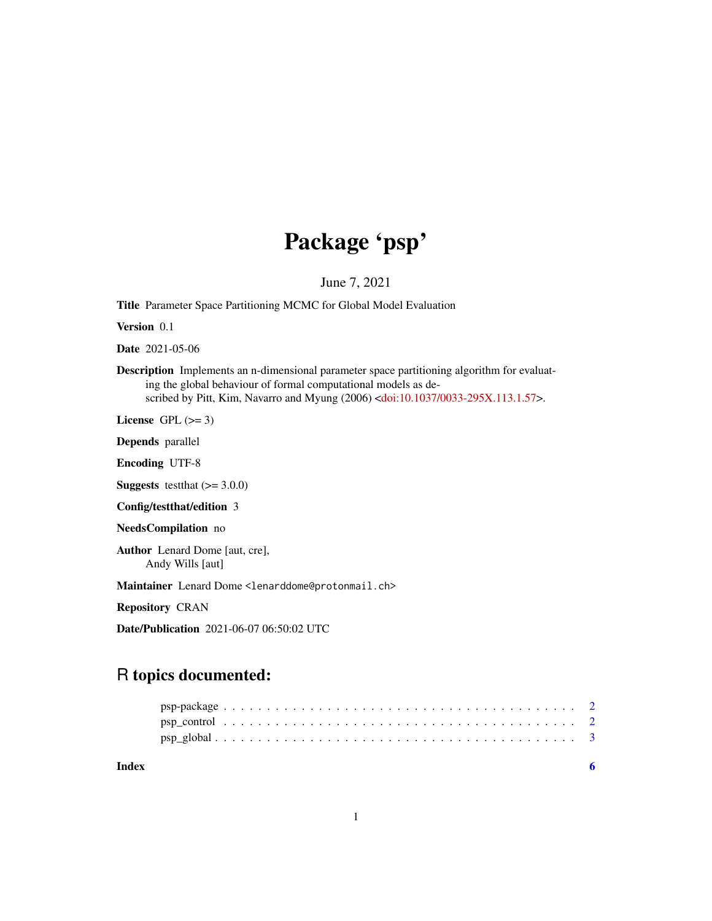## Package 'psp'

June 7, 2021

Title Parameter Space Partitioning MCMC for Global Model Evaluation

Version 0.1

Date 2021-05-06

Description Implements an n-dimensional parameter space partitioning algorithm for evaluating the global behaviour of formal computational models as described by Pitt, Kim, Navarro and Myung (2006) [<doi:10.1037/0033-295X.113.1.57>](https://doi.org/10.1037/0033-295X.113.1.57).

License GPL  $(>= 3)$ 

Depends parallel

Encoding UTF-8

**Suggests** test that  $(>= 3.0.0)$ 

Config/testthat/edition 3

NeedsCompilation no

Author Lenard Dome [aut, cre], Andy Wills [aut]

Maintainer Lenard Dome <lenarddome@protonmail.ch>

Repository CRAN

Date/Publication 2021-06-07 06:50:02 UTC

### R topics documented:

**Index** [6](#page-5-0) **6**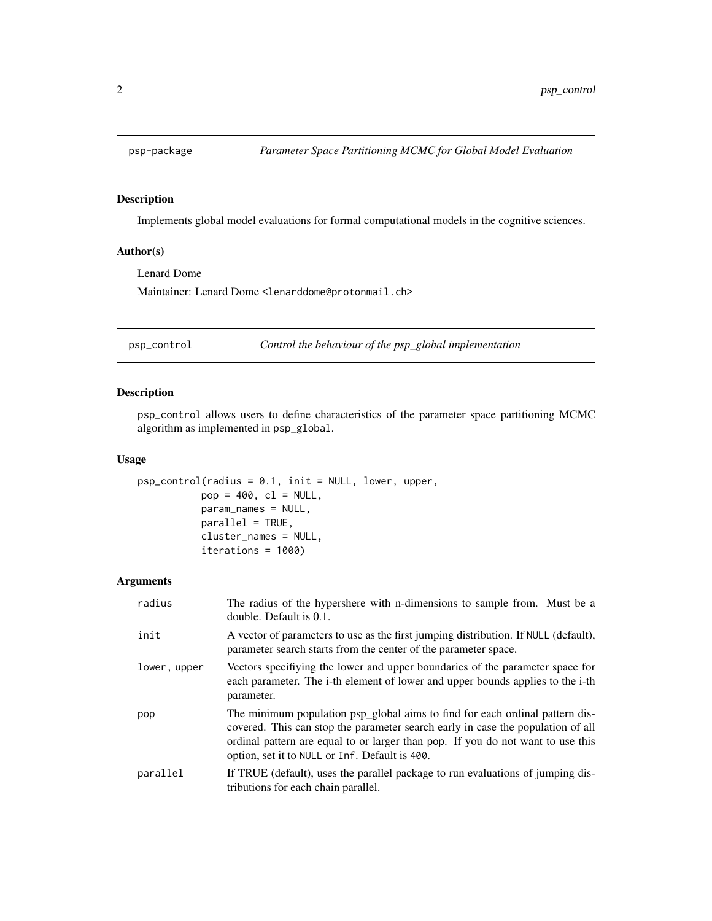<span id="page-1-0"></span>

#### Description

Implements global model evaluations for formal computational models in the cognitive sciences.

#### Author(s)

Lenard Dome Maintainer: Lenard Dome <lenarddome@protonmail.ch>

<span id="page-1-1"></span>psp\_control *Control the behaviour of the psp\_global implementation*

#### Description

psp\_control allows users to define characteristics of the parameter space partitioning MCMC algorithm as implemented in psp\_global.

#### Usage

```
psp_control(radius = 0.1, init = NULL, lower, upper,
           pop = 400, cl = NULL,
           param_names = NULL,
           parallel = TRUE,
           cluster_names = NULL,
           iterations = 1000)
```
#### Arguments

| radius       | The radius of the hypershere with n-dimensions to sample from. Must be a<br>double. Default is 0.1.                                                                                                                                                                                                  |
|--------------|------------------------------------------------------------------------------------------------------------------------------------------------------------------------------------------------------------------------------------------------------------------------------------------------------|
| init         | A vector of parameters to use as the first jumping distribution. If NULL (default),<br>parameter search starts from the center of the parameter space.                                                                                                                                               |
| lower, upper | Vectors specifiying the lower and upper boundaries of the parameter space for<br>each parameter. The i-th element of lower and upper bounds applies to the i-th<br>parameter.                                                                                                                        |
| pop          | The minimum population psp_global aims to find for each ordinal pattern dis-<br>covered. This can stop the parameter search early in case the population of all<br>ordinal pattern are equal to or larger than pop. If you do not want to use this<br>option, set it to NULL or Inf. Default is 400. |
| parallel     | If TRUE (default), uses the parallel package to run evaluations of jumping dis-<br>tributions for each chain parallel.                                                                                                                                                                               |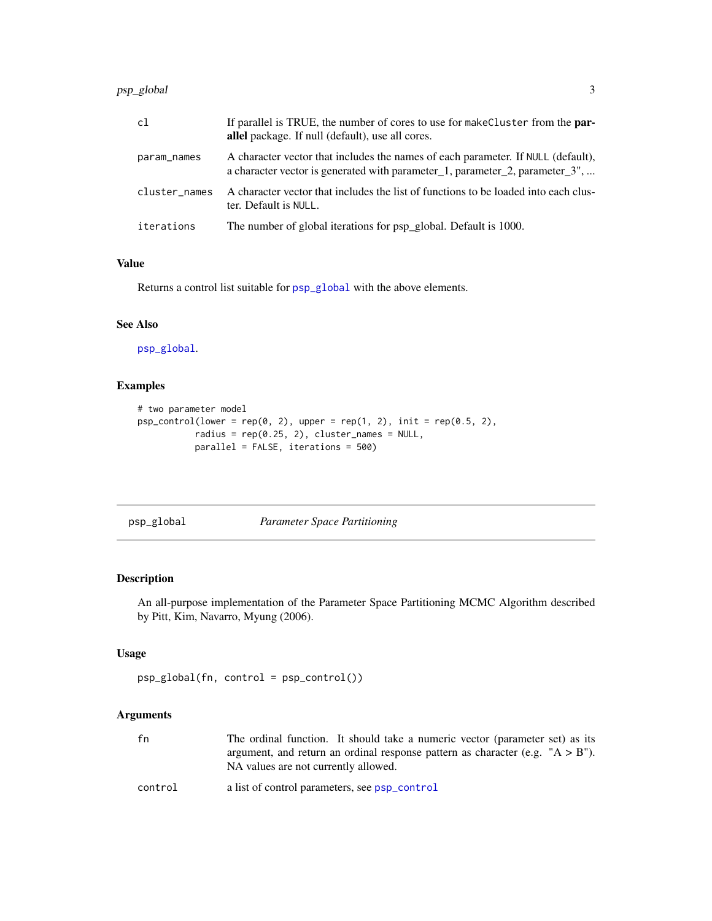#### <span id="page-2-0"></span>psp\_global 3

| c1            | If parallel is TRUE, the number of cores to use for make Cluster from the <b>par-</b><br>allel package. If null (default), use all cores.                        |
|---------------|------------------------------------------------------------------------------------------------------------------------------------------------------------------|
| param_names   | A character vector that includes the names of each parameter. If NULL (default),<br>a character vector is generated with parameter_1, parameter_2, parameter_3", |
| cluster_names | A character vector that includes the list of functions to be loaded into each clus-<br>ter. Default is NULL.                                                     |
| iterations    | The number of global iterations for psp_global. Default is 1000.                                                                                                 |

#### Value

Returns a control list suitable for [psp\\_global](#page-2-1) with the above elements.

#### See Also

[psp\\_global](#page-2-1).

#### Examples

```
# two parameter model
psp\_control(lower = rep(0, 2), upper = rep(1, 2), init = rep(0.5, 2),radius = rep(0.25, 2), cluster_names = NULL,
           parallel = FALSE, iterations = 500)
```
<span id="page-2-1"></span>psp\_global *Parameter Space Partitioning*

#### Description

An all-purpose implementation of the Parameter Space Partitioning MCMC Algorithm described by Pitt, Kim, Navarro, Myung (2006).

#### Usage

```
psp_global(fn, control = psp_control())
```
#### Arguments

| fn      | The ordinal function. It should take a numeric vector (parameter set) as its<br>argument, and return an ordinal response pattern as character (e.g. $"A > B"$ ).<br>NA values are not currently allowed. |
|---------|----------------------------------------------------------------------------------------------------------------------------------------------------------------------------------------------------------|
| control | a list of control parameters, see psp_control                                                                                                                                                            |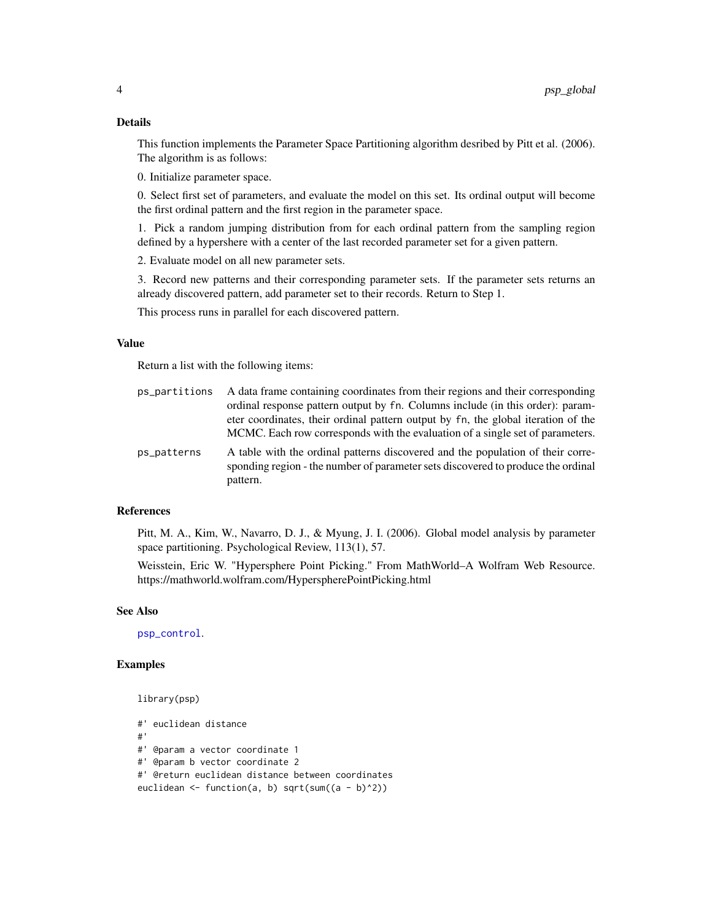#### <span id="page-3-0"></span>Details

This function implements the Parameter Space Partitioning algorithm desribed by Pitt et al. (2006). The algorithm is as follows:

0. Initialize parameter space.

0. Select first set of parameters, and evaluate the model on this set. Its ordinal output will become the first ordinal pattern and the first region in the parameter space.

1. Pick a random jumping distribution from for each ordinal pattern from the sampling region defined by a hypershere with a center of the last recorded parameter set for a given pattern.

2. Evaluate model on all new parameter sets.

3. Record new patterns and their corresponding parameter sets. If the parameter sets returns an already discovered pattern, add parameter set to their records. Return to Step 1.

This process runs in parallel for each discovered pattern.

#### Value

Return a list with the following items:

| ps_partitions | A data frame containing coordinates from their regions and their corresponding                                                                                                  |
|---------------|---------------------------------------------------------------------------------------------------------------------------------------------------------------------------------|
|               | ordinal response pattern output by fn. Columns include (in this order): param-                                                                                                  |
|               | eter coordinates, their ordinal pattern output by fn, the global iteration of the                                                                                               |
|               | MCMC. Each row corresponds with the evaluation of a single set of parameters.                                                                                                   |
| ps_patterns   | A table with the ordinal patterns discovered and the population of their corre-<br>sponding region - the number of parameter sets discovered to produce the ordinal<br>pattern. |

#### References

Pitt, M. A., Kim, W., Navarro, D. J., & Myung, J. I. (2006). Global model analysis by parameter space partitioning. Psychological Review, 113(1), 57.

Weisstein, Eric W. "Hypersphere Point Picking." From MathWorld–A Wolfram Web Resource. https://mathworld.wolfram.com/HyperspherePointPicking.html

#### See Also

[psp\\_control](#page-1-1).

library(psp)

#### Examples

```
#' euclidean distance
#'
#' @param a vector coordinate 1
#' @param b vector coordinate 2
#' @return euclidean distance between coordinates
euclidean <- function(a, b) sqrt(sum((a - b)^2))
```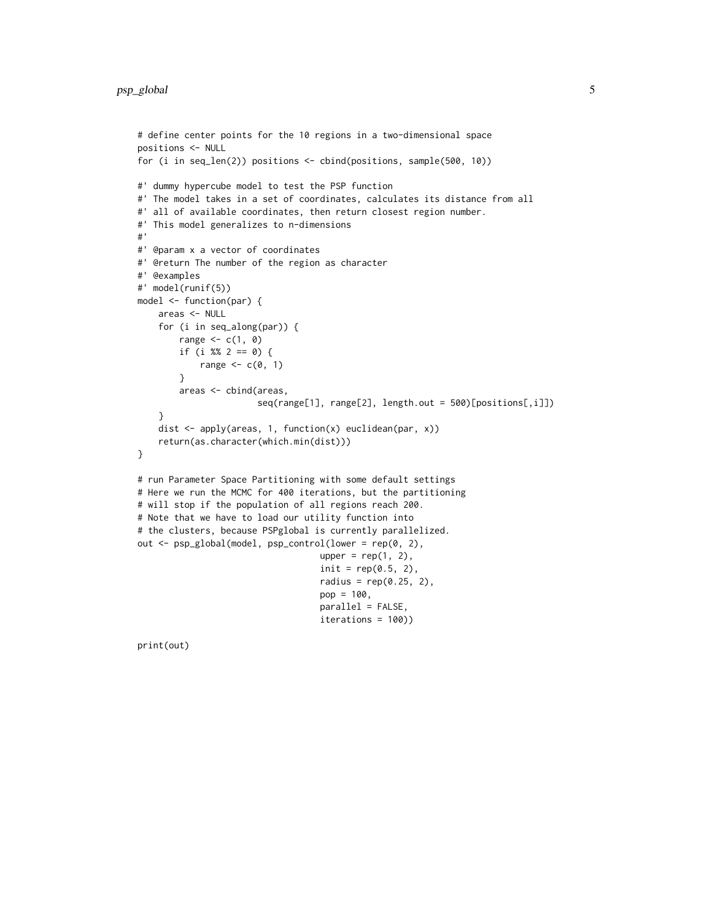```
# define center points for the 10 regions in a two-dimensional space
positions <- NULL
for (i in seq_len(2)) positions <- cbind(positions, sample(500, 10))
#' dummy hypercube model to test the PSP function
#' The model takes in a set of coordinates, calculates its distance from all
#' all of available coordinates, then return closest region number.
#' This model generalizes to n-dimensions
#'
#' @param x a vector of coordinates
#' @return The number of the region as character
#' @examples
#' model(runif(5))
model <- function(par) {
    areas <- NULL
    for (i in seq_along(par)) {
        range \leq c(1, 0)if (i %% 2 == 0) {
            range \leq -c(0, 1)}
        areas <- cbind(areas,
                       seq(range[1], range[2], length.out = 500)[positions[,i]])
    }
    dist <- apply(areas, 1, function(x) euclidean(par, x))
    return(as.character(which.min(dist)))
}
# run Parameter Space Partitioning with some default settings
# Here we run the MCMC for 400 iterations, but the partitioning
# will stop if the population of all regions reach 200.
# Note that we have to load our utility function into
# the clusters, because PSPglobal is currently parallelized.
out <- psp_global(model, psp_control(lower = rep(0, 2),
                                   upper = rep(1, 2),
                                   init = rep(0.5, 2),radius = rep(0.25, 2),
                                   pop = 100,parallel = FALSE,
                                   iterations = 100))
```
print(out)